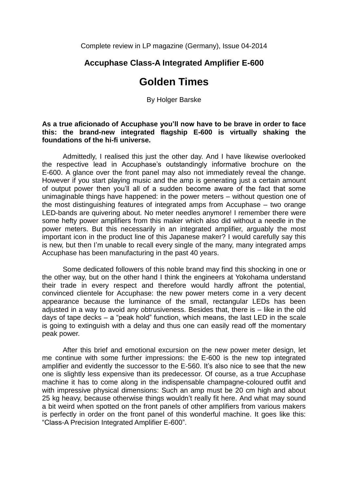Complete review in LP magazine (Germany), Issue 04-2014

## **Accuphase Class-A Integrated Amplifier E-600**

## **Golden Times**

By Holger Barske

## **As a true aficionado of Accuphase you'll now have to be brave in order to face this: the brand-new integrated flagship E-600 is virtually shaking the foundations of the hi-fi universe.**

Admittedly, I realised this just the other day. And I have likewise overlooked the respective lead in Accuphase's outstandingly informative brochure on the E-600. A glance over the front panel may also not immediately reveal the change. However if you start playing music and the amp is generating just a certain amount of output power then you'll all of a sudden become aware of the fact that some unimaginable things have happened: in the power meters – without question one of the most distinguishing features of integrated amps from Accuphase – two orange LED-bands are quivering about. No meter needles anymore! I remember there were some hefty power amplifiers from this maker which also did without a needle in the power meters. But this necessarily in an integrated amplifier, arguably the most important icon in the product line of this Japanese maker? I would carefully say this is new, but then I'm unable to recall every single of the many, many integrated amps Accuphase has been manufacturing in the past 40 years.

Some dedicated followers of this noble brand may find this shocking in one or the other way, but on the other hand I think the engineers at Yokohama understand their trade in every respect and therefore would hardly affront the potential, convinced clientele for Accuphase: the new power meters come in a very decent appearance because the luminance of the small, rectangular LEDs has been adjusted in a way to avoid any obtrusiveness. Besides that, there is – like in the old days of tape decks – a "peak hold" function, which means, the last LED in the scale is going to extinguish with a delay and thus one can easily read off the momentary peak power.

After this brief and emotional excursion on the new power meter design, let me continue with some further impressions: the E-600 is the new top integrated amplifier and evidently the successor to the E-560. It's also nice to see that the new one is slightly less expensive than its predecessor. Of course, as a true Accuphase machine it has to come along in the indispensable champagne-coloured outfit and with impressive physical dimensions: Such an amp must be 20 cm high and about 25 kg heavy, because otherwise things wouldn't really fit here. And what may sound a bit weird when spotted on the front panels of other amplifiers from various makers is perfectly in order on the front panel of this wonderful machine. It goes like this: "Class-A Precision Integrated Amplifier E-600".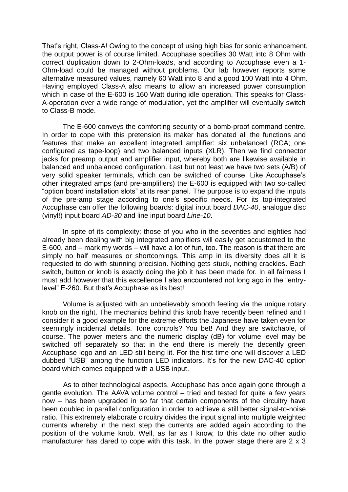That's right, Class-A! Owing to the concept of using high bias for sonic enhancement, the output power is of course limited. Accuphase specifies 30 Watt into 8 Ohm with correct duplication down to 2-Ohm-loads, and according to Accuphase even a 1- Ohm-load could be managed without problems. Our lab however reports some alternative measured values, namely 60 Watt into 8 and a good 100 Watt into 4 Ohm. Having employed Class-A also means to allow an increased power consumption which in case of the E-600 is 160 Watt during idle operation. This speaks for Class-A-operation over a wide range of modulation, yet the amplifier will eventually switch to Class-B mode.

The E-600 conveys the comforting security of a bomb-proof command centre. In order to cope with this pretension its maker has donated all the functions and features that make an excellent integrated amplifier: six unbalanced (RCA; one configured as tape-loop) and two balanced inputs (XLR). Then we find connector jacks for preamp output and amplifier input, whereby both are likewise available in balanced and unbalanced configuration. Last but not least we have two sets (A/B) of very solid speaker terminals, which can be switched of course. Like Accuphase's other integrated amps (and pre-amplifiers) the E-600 is equipped with two so-called "option board installation slots" at its rear panel. The purpose is to expand the inputs of the pre-amp stage according to one's specific needs. For its top-integrated Accuphase can offer the following boards: digital input board *DAC-40*, analogue disc (vinyl!) input board *AD-30* and line input board *Line-10*.

In spite of its complexity: those of you who in the seventies and eighties had already been dealing with big integrated amplifiers will easily get accustomed to the E-600, and – mark my words – will have a lot of fun, too. The reason is that there are simply no half measures or shortcomings. This amp in its diversity does all it is requested to do with stunning precision. Nothing gets stuck, nothing crackles. Each switch, button or knob is exactly doing the job it has been made for. In all fairness I must add however that this excellence I also encountered not long ago in the "entrylevel" E-260. But that's Accuphase as its best!

Volume is adjusted with an unbelievably smooth feeling via the unique rotary knob on the right. The mechanics behind this knob have recently been refined and I consider it a good example for the extreme efforts the Japanese have taken even for seemingly incidental details. Tone controls? You bet! And they are switchable, of course. The power meters and the numeric display (dB) for volume level may be switched off separately so that in the end there is merely the decently green Accuphase logo and an LED still being lit. For the first time one will discover a LED dubbed "USB" among the function LED indicators. It's for the new DAC-40 option board which comes equipped with a USB input.

As to other technological aspects, Accuphase has once again gone through a gentle evolution. The AAVA volume control – tried and tested for quite a few years now – has been upgraded in so far that certain components of the circuitry have been doubled in parallel configuration in order to achieve a still better signal-to-noise ratio. This extremely elaborate circuitry divides the input signal into multiple weighted currents whereby in the next step the currents are added again according to the position of the volume knob. Well, as far as I know, to this date no other audio manufacturer has dared to cope with this task. In the power stage there are 2 x 3